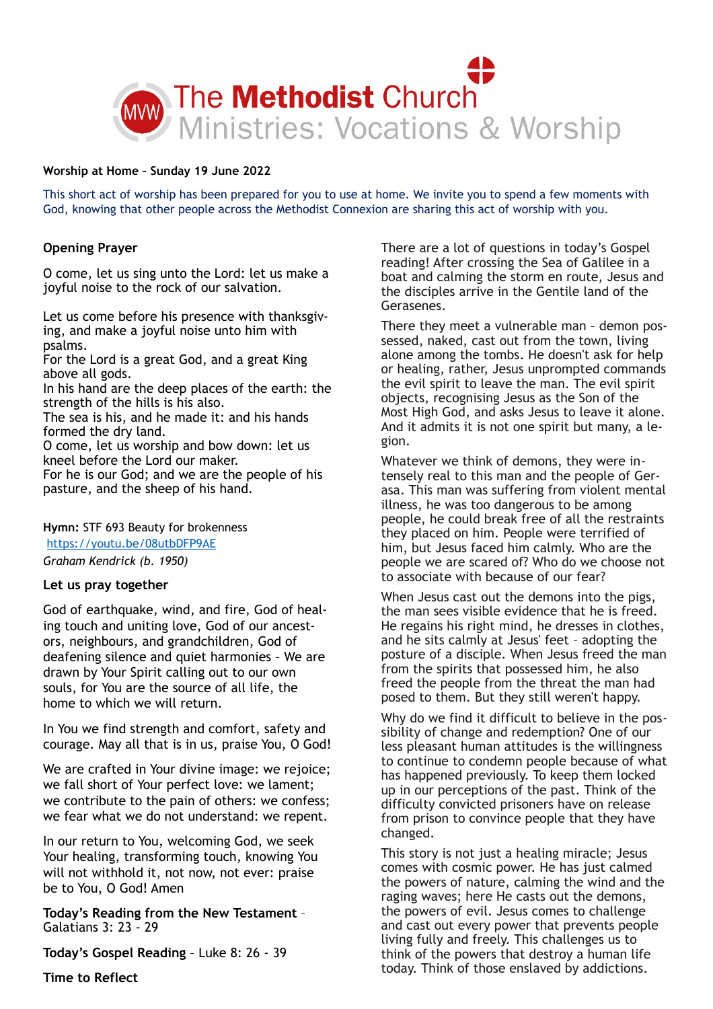

#### **Worship at Home – Sunday 19 June 2022**

This short act of worship has been prepared for you to use at home. We invite you to spend a few moments with God, knowing that other people across the Methodist Connexion are sharing this act of worship with you.

### **Opening Prayer**

O come, let us sing unto the Lord: let us make a joyful noise to the rock of our salvation.

Let us come before his presence with thanksgiving, and make a joyful noise unto him with psalms.

For the Lord is a great God, and a great King above all gods.

In his hand are the deep places of the earth: the strength of the hills is his also.

The sea is his, and he made it: and his hands formed the dry land.

O come, let us worship and bow down: let us kneel before the Lord our maker.

For he is our God; and we are the people of his pasture, and the sheep of his hand.

**Hymn:** STF 693 Beauty for brokenness

<https://youtu.be/08utbDFP9AE>

*Graham Kendrick (b. 1950)* 

## **Let us pray together**

God of earthquake, wind, and fire, God of healing touch and uniting love, God of our ancestors, neighbours, and grandchildren, God of deafening silence and quiet harmonies – We are drawn by Your Spirit calling out to our own souls, for You are the source of all life, the home to which we will return.

In You we find strength and comfort, safety and courage. May all that is in us, praise You, O God!

We are crafted in Your divine image: we rejoice; we fall short of Your perfect love: we lament; we contribute to the pain of others: we confess; we fear what we do not understand: we repent.

In our return to You, welcoming God, we seek Your healing, transforming touch, knowing You will not withhold it, not now, not ever: praise be to You, O God! Amen

**Today's Reading from the New Testament** – Galatians 3: 23 - 29

**Today's Gospel Reading** – Luke 8: 26 - 39

There are a lot of questions in today's Gospel reading! After crossing the Sea of Galilee in a boat and calming the storm en route, Jesus and the disciples arrive in the Gentile land of the Gerasenes.

There they meet a vulnerable man – demon possessed, naked, cast out from the town, living alone among the tombs. He doesn't ask for help or healing, rather, Jesus unprompted commands the evil spirit to leave the man. The evil spirit objects, recognising Jesus as the Son of the Most High God, and asks Jesus to leave it alone. And it admits it is not one spirit but many, a legion.

Whatever we think of demons, they were intensely real to this man and the people of Gerasa. This man was suffering from violent mental illness, he was too dangerous to be among people, he could break free of all the restraints they placed on him. People were terrified of him, but Jesus faced him calmly. Who are the people we are scared of? Who do we choose not to associate with because of our fear?

When Jesus cast out the demons into the pigs, the man sees visible evidence that he is freed. He regains his right mind, he dresses in clothes, and he sits calmly at Jesus' feet – adopting the posture of a disciple. When Jesus freed the man from the spirits that possessed him, he also freed the people from the threat the man had posed to them. But they still weren't happy.

Why do we find it difficult to believe in the possibility of change and redemption? One of our less pleasant human attitudes is the willingness to continue to condemn people because of what has happened previously. To keep them locked up in our perceptions of the past. Think of the difficulty convicted prisoners have on release from prison to convince people that they have changed.

This story is not just a healing miracle; Jesus comes with cosmic power. He has just calmed the powers of nature, calming the wind and the raging waves; here He casts out the demons, the powers of evil. Jesus comes to challenge and cast out every power that prevents people living fully and freely. This challenges us to think of the powers that destroy a human life today. Think of those enslaved by addictions.

**Time to Reflect**